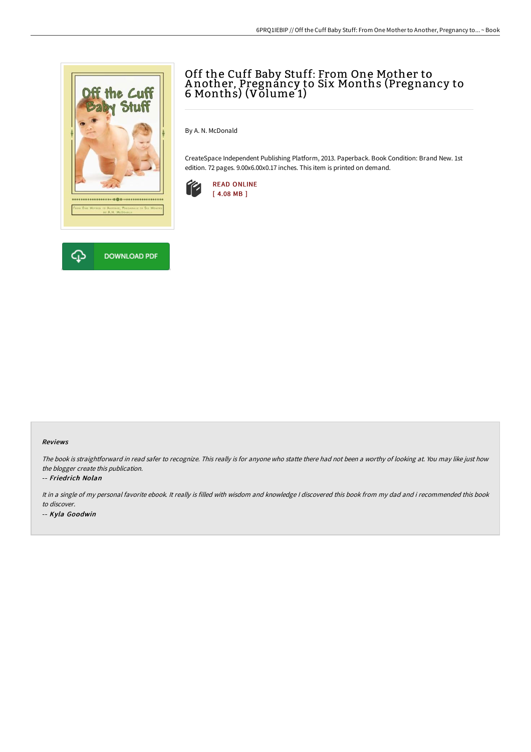

# Off the Cuff Baby Stuff: From One Mother to A nother, Pregnancy to Six Months (Pregnancy to 6 Months) (Volume 1)

By A. N. McDonald

CreateSpace Independent Publishing Platform, 2013. Paperback. Book Condition: Brand New. 1st edition. 72 pages. 9.00x6.00x0.17 inches. This item is printed on demand.



### Reviews

The book is straightforward in read safer to recognize. This really is for anyone who statte there had not been <sup>a</sup> worthy of looking at. You may like just how the blogger create this publication.

#### -- Friedrich Nolan

It in <sup>a</sup> single of my personal favorite ebook. It really is filled with wisdom and knowledge <sup>I</sup> discovered this book from my dad and i recommended this book to discover.

-- Kyla Goodwin